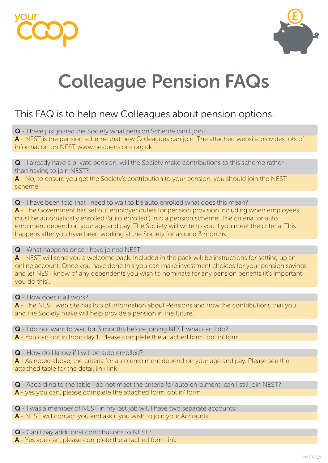



# Colleague Pension FAQs

# This FAQ is to help new Colleagues about pension options.

Q - I have just joined the Society what pension Scheme can I join?

A - NEST is the pension scheme that new Colleagues can join. The attached website provides lots of information on NEST www.nestpensions.org.uk

Q - I already have a private pension, will the Society make contributions to this scheme rather than having to join NEST?

A - No, to ensure you get the Society's contribution to your pension, you should join the NEST scheme

Q - I have been told that I need to wait to be auto enrolled what does this mean?

A - The Government has set out employer duties for pension provision including when employees must be automatically enrolled ('auto enrolled') into a pension scheme. The criteria for auto enrolment depend on your age and pay. The Society will write to you if you meet the criteria. This happens after you have been working at the Society for around 3 months.

#### Q - What happens once I have joined NEST

A - NEST will send you a welcome pack. Included in the pack will be instructions for setting up an online account. Once you have done this you can make investment choices for your pension savings and let NEST know of any dependents you wish to nominate for any pension benefits (it's important you do this).

Q - How does it all work?

A - The NEST web site has lots of information about Pensions and how the contributions that you and the Society make will help provide a pension in the future.

Q - I do not want to wait for 3 months before joining NEST what can I do?

A - You can opt in from day 1. Please complete the attached form 'opt in' form

Q - How do I know if I will be auto enrolled?

A - As noted above, the criteria for auto enrolment depend on your age and pay. Please see the attached table for the detail link link

Q - According to the table I do not meet the criteria for auto enrolment; can I still join NEST? A - yes you can, please complete the attached form 'opt in' form

Q - I was a member of NEST in my last job will I have two separate accounts?

A - NEST will contact you and ask if you wish to join your Accounts.

Q - Can I pay additional contributions to NEST?

A - Yes you can, please complete the attached form link